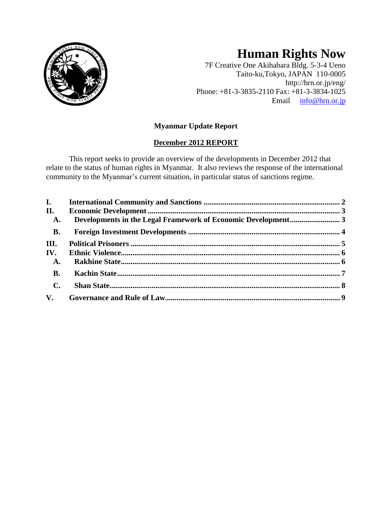

# **Human Rights Now**

7F Creative One Akihabara Bldg. 5-3-4 Ueno Taito-ku,Tokyo, JAPAN 110-0005 http://hrn.or.jp/eng/ Phone: +81-3-3835-2110 Fax: +81-3-3834-1025 Email [info@hrn.or.jp](mailto:info@hrn.or.jp)

# **Myanmar Update Report**

# **December 2012 REPORT**

This report seeks to provide an overview of the developments in December 2012 that relate to the status of human rights in Myanmar. It also reviews the response of the international community to the Myanmar's current situation, in particular status of sanctions regime.

| <b>I.</b>      |  |
|----------------|--|
| II.            |  |
| <b>A.</b>      |  |
| <b>B.</b>      |  |
| III.           |  |
| IV.            |  |
| <b>A.</b>      |  |
| <b>B.</b>      |  |
| $\mathbf{C}$ . |  |
| $V_{\cdot}$    |  |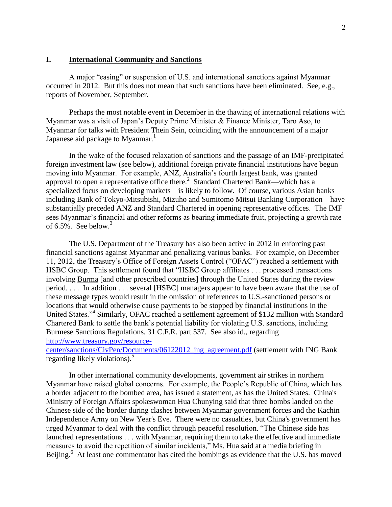#### <span id="page-1-0"></span>**I. International Community and Sanctions**

A major "easing" or suspension of U.S. and international sanctions against Myanmar occurred in 2012. But this does not mean that such sanctions have been eliminated. See, e.g., reports of November, September.

Perhaps the most notable event in December in the thawing of international relations with Myanmar was a visit of Japan's Deputy Prime Minister & Finance Minister, Taro Aso, to Myanmar for talks with President Thein Sein, coinciding with the announcement of a major Japanese aid package to Myanmar.<sup>1</sup>

In the wake of the focused relaxation of sanctions and the passage of an IMF-precipitated foreign investment law (see below), additional foreign private financial institutions have begun moving into Myanmar. For example, ANZ, Australia's fourth largest bank, was granted approval to open a representative office there.<sup>2</sup> Standard Chartered Bank—which has a specialized focus on developing markets—is likely to follow. Of course, various Asian banks including Bank of Tokyo-Mitsubishi, Mizuho and Sumitomo Mitsui Banking Corporation—have substantially preceded ANZ and Standard Chartered in opening representative offices. The IMF sees Myanmar's financial and other reforms as bearing immediate fruit, projecting a growth rate of  $6.5\%$ . See below.<sup>3</sup>

The U.S. Department of the Treasury has also been active in 2012 in enforcing past financial sanctions against Myanmar and penalizing various banks. For example, on December 11, 2012, the Treasury's Office of Foreign Assets Control ("OFAC") reached a settlement with HSBC Group. This settlement found that "HSBC Group affiliates . . . processed transactions involving Burma [and other proscribed countries] through the United States during the review period. . . . In addition . . . several [HSBC] managers appear to have been aware that the use of these message types would result in the omission of references to U.S.-sanctioned persons or locations that would otherwise cause payments to be stopped by financial institutions in the United States."<sup>4</sup> Similarly, OFAC reached a settlement agreement of \$132 million with Standard Chartered Bank to settle the bank's potential liability for violating U.S. sanctions, including Burmese Sanctions Regulations, 31 C.F.R. part 537. See also id., regarding [http://www.treasury.gov/resource-](http://www.treasury.gov/resource-center/sanctions/CivPen/Documents/06122012_ing_agreement.pdf)

[center/sanctions/CivPen/Documents/06122012\\_ing\\_agreement.pdf](http://www.treasury.gov/resource-center/sanctions/CivPen/Documents/06122012_ing_agreement.pdf) (settlement with ING Bank regarding likely violations).<sup>5</sup>

In other international community developments, government air strikes in northern Myanmar have raised global concerns. For example, the People's Republic of China, which has a border adjacent to the bombed area, has issued a statement, as has the United States. China's Ministry of Foreign Affairs spokeswoman Hua Chunying said that three bombs landed on the Chinese side of the border during clashes between Myanmar government forces and the Kachin Independence Army on New Year's Eve. There were no casualties, but China's government has urged Myanmar to deal with the conflict through peaceful resolution. "The Chinese side has launched representations . . . with Myanmar, requiring them to take the effective and immediate measures to avoid the repetition of similar incidents," Ms. Hua said at a media briefing in Beijing.<sup>6</sup> At least one commentator has cited the bombings as evidence that the U.S. has moved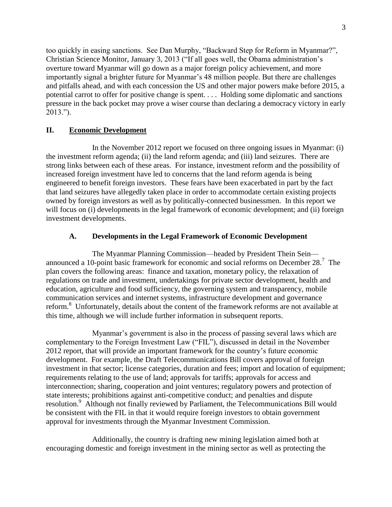too quickly in easing sanctions. See Dan Murphy, "Backward Step for Reform in Myanmar?", Christian Science Monitor, January 3, 2013 ("If all goes well, the Obama administration's overture toward Myanmar will go down as a major foreign policy achievement, and more importantly signal a brighter future for Myanmar's 48 million people. But there are challenges and pitfalls ahead, and with each concession the US and other major powers make before 2015, a potential carrot to offer for positive change is spent. . . . Holding some diplomatic and sanctions pressure in the back pocket may prove a wiser course than declaring a democracy victory in early 2013.").

# <span id="page-2-0"></span>**II. Economic Development**

In the November 2012 report we focused on three ongoing issues in Myanmar: (i) the investment reform agenda; (ii) the land reform agenda; and (iii) land seizures. There are strong links between each of these areas. For instance, investment reform and the possibility of increased foreign investment have led to concerns that the land reform agenda is being engineered to benefit foreign investors. These fears have been exacerbated in part by the fact that land seizures have allegedly taken place in order to accommodate certain existing projects owned by foreign investors as well as by politically-connected businessmen. In this report we will focus on (i) developments in the legal framework of economic development; and (ii) foreign investment developments.

# **A. Developments in the Legal Framework of Economic Development**

<span id="page-2-1"></span>The Myanmar Planning Commission—headed by President Thein Sein announced a 10-point basic framework for economic and social reforms on December 28.<sup>7</sup> The plan covers the following areas: finance and taxation, monetary policy, the relaxation of regulations on trade and investment, undertakings for private sector development, health and education, agriculture and food sufficiency, the governing system and transparency, mobile communication services and internet systems, infrastructure development and governance reform.<sup>8</sup> Unfortunately, details about the content of the framework reforms are not available at this time, although we will include further information in subsequent reports.

Myanmar's government is also in the process of passing several laws which are complementary to the Foreign Investment Law ("FIL"), discussed in detail in the November 2012 report, that will provide an important framework for the country's future economic development. For example, the Draft Telecommunications Bill covers approval of foreign investment in that sector; license categories, duration and fees; import and location of equipment; requirements relating to the use of land; approvals for tariffs; approvals for access and interconnection; sharing, cooperation and joint ventures; regulatory powers and protection of state interests; prohibitions against anti-competitive conduct; and penalties and dispute resolution.<sup>9</sup> Although not finally reviewed by Parliament, the Telecommunications Bill would be consistent with the FIL in that it would require foreign investors to obtain government approval for investments through the Myanmar Investment Commission.

Additionally, the country is drafting new mining legislation aimed both at encouraging domestic and foreign investment in the mining sector as well as protecting the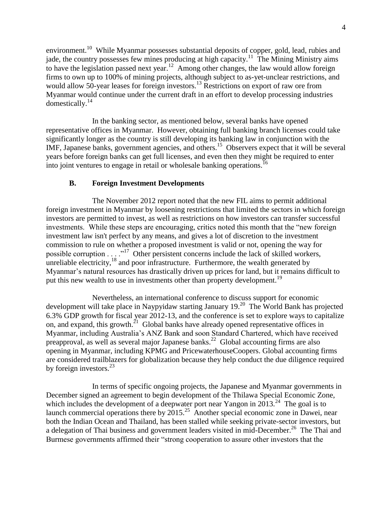environment.<sup>10</sup> While Myanmar possesses substantial deposits of copper, gold, lead, rubies and jade, the country possesses few mines producing at high capacity.<sup>11</sup> The Mining Ministry aims to have the legislation passed next year.<sup>12</sup> Among other changes, the law would allow foreign firms to own up to 100% of mining projects, although subject to as-yet-unclear restrictions, and would allow 50-year leases for foreign investors.<sup>13</sup> Restrictions on export of raw ore from Myanmar would continue under the current draft in an effort to develop processing industries domestically.<sup>14</sup>

In the banking sector, as mentioned below, several banks have opened representative offices in Myanmar. However, obtaining full banking branch licenses could take significantly longer as the country is still developing its banking law in conjunction with the IMF, Japanese banks, government agencies, and others.<sup>15</sup> Observers expect that it will be several years before foreign banks can get full licenses, and even then they might be required to enter into joint ventures to engage in retail or wholesale banking operations.<sup>16</sup>

# **B. Foreign Investment Developments**

<span id="page-3-0"></span>The November 2012 report noted that the new FIL aims to permit additional foreign investment in Myanmar by loosening restrictions that limited the sectors in which foreign investors are permitted to invest, as well as restrictions on how investors can transfer successful investments. While these steps are encouraging, critics noted this month that the "new foreign investment law isn't perfect by any means, and gives a lot of discretion to the investment commission to rule on whether a proposed investment is valid or not, opening the way for possible corruption . . . .<sup>17</sup> Other persistent concerns include the lack of skilled workers, unreliable electricity, $^{18}$  and poor infrastructure. Furthermore, the wealth generated by Myanmar's natural resources has drastically driven up prices for land, but it remains difficult to put this new wealth to use in investments other than property development.<sup>19</sup>

Nevertheless, an international conference to discuss support for economic development will take place in Naypyidaw starting January 19. $^{20}$  The World Bank has projected 6.3% GDP growth for fiscal year 2012-13, and the conference is set to explore ways to capitalize on, and expand, this growth.<sup>21</sup> Global banks have already opened representative offices in Myanmar, including Australia's ANZ Bank and soon Standard Chartered, which have received preapproval, as well as several major Japanese banks.<sup>22</sup> Global accounting firms are also opening in Myanmar, including KPMG and PricewaterhouseCoopers. Global accounting firms are considered trailblazers for globalization because they help conduct the due diligence required by foreign investors.<sup>23</sup>

In terms of specific ongoing projects, the Japanese and Myanmar governments in December signed an agreement to begin development of the Thilawa Special Economic Zone, which includes the development of a deepwater port near Yangon in  $2013.^{24}$  The goal is to launch commercial operations there by  $2015.<sup>25</sup>$  Another special economic zone in Dawei, near both the Indian Ocean and Thailand, has been stalled while seeking private-sector investors, but a delegation of Thai business and government leaders visited in mid-December.<sup>26</sup> The Thai and Burmese governments affirmed their "strong cooperation to assure other investors that the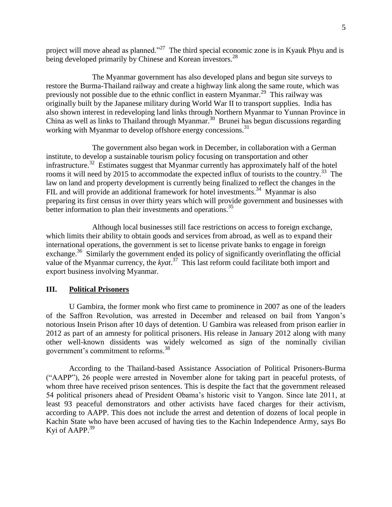project will move ahead as planned."<sup>27</sup> The third special economic zone is in Kyauk Phyu and is being developed primarily by Chinese and Korean investors.<sup>28</sup>

The Myanmar government has also developed plans and begun site surveys to restore the Burma-Thailand railway and create a highway link along the same route, which was previously not possible due to the ethnic conflict in eastern Myanmar.<sup>29</sup> This railway was originally built by the Japanese military during World War II to transport supplies. India has also shown interest in redeveloping land links through Northern Myanmar to Yunnan Province in China as well as links to Thailand through Myanmar.<sup>30</sup> Brunei has begun discussions regarding working with Myanmar to develop offshore energy concessions.<sup>31</sup>

The government also began work in December, in collaboration with a German institute, to develop a sustainable tourism policy focusing on transportation and other infrastructure.<sup>32</sup> Estimates suggest that Myanmar currently has approximately half of the hotel rooms it will need by 2015 to accommodate the expected influx of tourists to the country.<sup>33</sup> The law on land and property development is currently being finalized to reflect the changes in the FIL and will provide an additional framework for hotel investments.<sup>34</sup> Myanmar is also preparing its first census in over thirty years which will provide government and businesses with better information to plan their investments and operations.<sup>35</sup>

Although local businesses still face restrictions on access to foreign exchange, which limits their ability to obtain goods and services from abroad, as well as to expand their international operations, the government is set to license private banks to engage in foreign exchange.<sup>36</sup> Similarly the government ended its policy of significantly overinflating the official value of the Myanmar currency, the *kyat*. 37 This last reform could facilitate both import and export business involving Myanmar.

#### <span id="page-4-0"></span>**III. Political Prisoners**

U Gambira, the former monk who first came to prominence in 2007 as one of the leaders of the Saffron Revolution, was arrested in December and released on bail from Yangon's notorious Insein Prison after 10 days of detention. U Gambira was released from prison earlier in 2012 as part of an amnesty for political prisoners. His release in January 2012 along with many other well-known dissidents was widely welcomed as sign of the nominally civilian government's commitment to reforms.<sup>38</sup>

According to the Thailand-based Assistance Association of Political Prisoners-Burma ("AAPP"), 26 people were arrested in November alone for taking part in peaceful protests, of whom three have received prison sentences. This is despite the fact that the government released 54 political prisoners ahead of President Obama's historic visit to Yangon. Since late 2011, at least 93 peaceful demonstrators and other activists have faced charges for their activism, according to AAPP. This does not include the arrest and detention of dozens of local people in Kachin State who have been accused of having ties to the Kachin Independence Army, says Bo Kyi of AAPP.<sup>39</sup>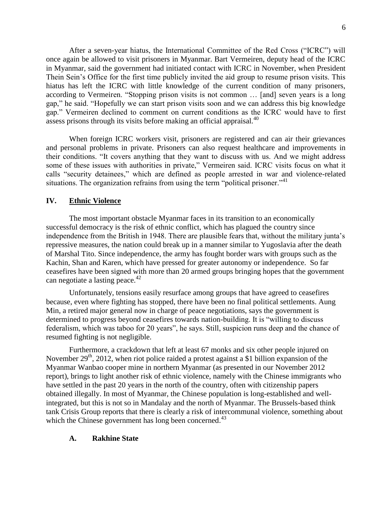After a seven-year hiatus, the International Committee of the Red Cross ("ICRC") will once again be allowed to visit prisoners in Myanmar. Bart Vermeiren, deputy head of the ICRC in Myanmar, said the government had initiated contact with ICRC in November, when President Thein Sein's Office for the first time publicly invited the aid group to resume prison visits. This hiatus has left the ICRC with little knowledge of the current condition of many prisoners, according to Vermeiren. "Stopping prison visits is not common … [and] seven years is a long gap," he said. "Hopefully we can start prison visits soon and we can address this big knowledge gap." Vermeiren declined to comment on current conditions as the ICRC would have to first assess prisons through its visits before making an official appraisal.<sup>40</sup>

When foreign ICRC workers visit, prisoners are registered and can air their grievances and personal problems in private. Prisoners can also request healthcare and improvements in their conditions. "It covers anything that they want to discuss with us. And we might address some of these issues with authorities in private," Vermeiren said. ICRC visits focus on what it calls "security detainees," which are defined as people arrested in war and violence-related situations. The organization refrains from using the term "political prisoner."<sup>41</sup>

#### <span id="page-5-0"></span>**IV. Ethnic Violence**

The most important obstacle Myanmar faces in its transition to an economically successful democracy is the risk of ethnic conflict, which has plagued the country since independence from the British in 1948. There are plausible fears that, without the military junta's repressive measures, the nation could break up in a manner similar to Yugoslavia after the death of Marshal Tito. Since independence, the army has fought border wars with groups such as the Kachin, Shan and Karen, which have pressed for greater autonomy or independence. So far ceasefires have been signed with more than 20 armed groups bringing hopes that the government can negotiate a lasting peace. $42$ 

Unfortunately, tensions easily resurface among groups that have agreed to ceasefires because, even where fighting has stopped, there have been no final political settlements. Aung Min, a retired major general now in charge of peace negotiations, says the government is determined to progress beyond ceasefires towards nation-building. It is "willing to discuss federalism, which was taboo for 20 years", he says. Still, suspicion runs deep and the chance of resumed fighting is not negligible.

Furthermore, a crackdown that left at least 67 monks and six other people injured on November  $29<sup>th</sup>$ , 2012, when riot police raided a protest against a \$1 billion expansion of the Myanmar Wanbao cooper mine in northern Myanmar (as presented in our November 2012 report), brings to light another risk of ethnic violence, namely with the Chinese immigrants who have settled in the past 20 years in the north of the country, often with citizenship papers obtained illegally. In most of Myanmar, the Chinese population is long-established and wellintegrated, but this is not so in Mandalay and the north of Myanmar. The Brussels-based think tank Crisis Group reports that there is clearly a risk of intercommunal violence, something about which the Chinese government has long been concerned.<sup>43</sup>

#### <span id="page-5-1"></span>**A. Rakhine State**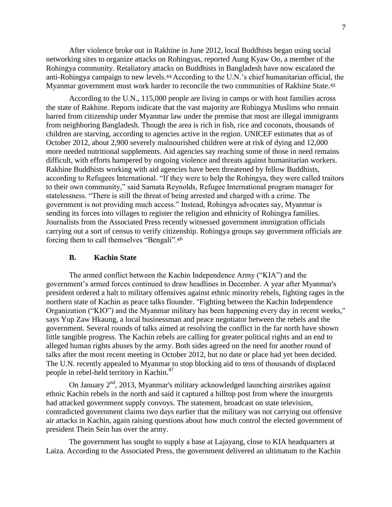After violence broke out in Rakhine in June 2012, local Buddhists began using social networking sites to organize attacks on Rohingyas, reported Aung Kyaw Oo, a member of the Rohingya community. Retaliatory attacks on Buddhists in Bangladesh have now escalated the anti-Rohingya campaign to new levels.<sup>44</sup> According to the U.N.'s chief humanitarian official, the Myanmar government must work harder to reconcile the two communities of Rakhine State. 45

According to the U.N., 115,000 people are living in camps or with host families across the state of Rakhine. Reports indicate that the vast majority are Rohingya Muslims who remain barred from citizenship under Myanmar law under the premise that most are illegal immigrants from neighboring Bangladesh. Though the area is rich in fish, rice and coconuts, thousands of children are starving, according to agencies active in the region. [UNICEF](http://www.latimes.com/topic/social-issues/unicef-ORCUL0000370.topic) estimates that as of October 2012, about 2,900 severely malnourished children were at risk of dying and 12,000 more needed nutritional supplements. Aid agencies say reaching some of those in need remains difficult, with efforts hampered by ongoing violence and threats against humanitarian workers. Rakhine Buddhists working with aid agencies have been threatened by fellow Buddhists, according to Refugees International. "If they were to help the Rohingya, they were called traitors to their own community," said Sarnata Reynolds, Refugee International program manager for statelessness. "There is still the threat of being arrested and charged with a crime. The government is not providing much access." Instead, Rohingya advocates say, Myanmar is sending its forces into villages to register the religion and ethnicity of Rohingya families. Journalists from the Associated Press recently witnessed government immigration officials carrying out a sort of census to verify citizenship. Rohingya groups say government officials are forcing them to call themselves "Bengali".<sup>46</sup>

#### <span id="page-6-0"></span>**B. Kachin State**

The armed conflict between the Kachin Independence Army ("KIA") and the government's armed forces continued to draw headlines in December. A year after Myanmar's president ordered a halt to military offensives against ethnic minority rebels, fighting rages in the northern state of Kachin as peace talks flounder. "Fighting between the Kachin Independence Organization ("KIO") and the Myanmar military has been happening every day in recent weeks," says Yup Zaw Hkaung, a local businessman and peace negotiator between the rebels and the government. Several rounds of talks aimed at resolving the conflict in the far north have shown little tangible progress. The Kachin rebels are calling for greater political rights and an end to alleged human rights abuses by the army. Both sides agreed on the need for another round of talks after the most recent meeting in October 2012, but no date or place had yet been decided. The U.N. recently appealed to Myanmar to stop blocking aid to tens of thousands of displaced people in rebel-held territory in Kachin.<sup>47</sup>

On January  $2<sup>nd</sup>$ , 2013, Myanmar's military acknowledged launching airstrikes against ethnic Kachin rebels in the north and said it captured a hilltop post from where the insurgents had attacked government supply convoys. The statement, broadcast on state television, contradicted government claims two days earlier that the military was not carrying out offensive air attacks in Kachin, again raising questions about how much control the elected government of president Thein Sein has over the army.

The government has sought to supply a base at Lajayang, close to KIA headquarters at Laiza. According to the Associated Press, the government delivered an ultimatum to the Kachin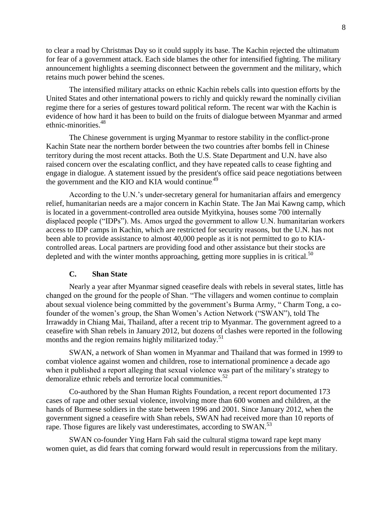to clear a road by Christmas Day so it could supply its base. The Kachin rejected the ultimatum for fear of a government attack. Each side blames the other for intensified fighting. The military announcement highlights a seeming disconnect between the government and the military, which retains much power behind the scenes.

The intensified military attacks on ethnic Kachin rebels calls into question efforts by the [United States](http://www.csmonitor.com/tags/topic/United+States) and other international powers to richly and quickly reward the nominally civilian regime there for a series of gestures toward political reform. The recent war with the Kachin is evidence of how hard it has been to build on the fruits of dialogue between Myanmar and armed ethnic-minorities.<sup>48</sup>

The Chinese government is urging Myanmar to restore stability in the conflict-prone Kachin State near the northern border between the two countries after bombs fell in Chinese territory during the most recent attacks. Both the U.S. State Department and U.N. have also raised concern over the escalating conflict, and they have repeated calls to cease fighting and engage in dialogue. A statement issued by the president's office said peace negotiations between the government and the KIO and KIA would continue.<sup>49</sup>

According to the U.N.'s under-secretary general for humanitarian affairs and emergency relief, humanitarian needs are a major concern in Kachin State. The Jan Mai Kawng camp, which is located in a government-controlled area outside Myitkyina, houses some 700 internally displaced people ("IDPs"). Ms. Amos urged the government to allow U.N. humanitarian workers access to IDP camps in Kachin, which are restricted for security reasons, but the U.N. has not been able to provide assistance to almost 40,000 people as it is not permitted to go to KIAcontrolled areas. Local partners are providing food and other assistance but their stocks are depleted and with the winter months approaching, getting more supplies in is critical. $50$ 

#### **C. Shan State**

<span id="page-7-0"></span>Nearly a year after Myanmar signed ceasefire deals with rebels in several states, little has changed on the ground for the people of Shan. "The villagers and women continue to complain about sexual violence being committed by the government's Burma Army, " Charm Tong, a cofounder of the women's group, the Shan Women's Action Network ("SWAN"), told The Irrawaddy in Chiang Mai, Thailand, after a recent trip to Myanmar. The government agreed to a ceasefire with Shan rebels in January 2012, but dozens of clashes were reported in the following months and the region remains highly militarized today.<sup>51</sup>

SWAN, a network of Shan women in Myanmar and Thailand that was formed in 1999 to combat violence against women and children, rose to international prominence a decade ago when it published a report alleging that sexual violence was part of the military's strategy to demoralize ethnic rebels and terrorize local communities.<sup>52</sup>

Co-authored by the Shan Human Rights Foundation, a recent report documented 173 cases of rape and other sexual violence, involving more than 600 women and children, at the hands of Burmese soldiers in the state between 1996 and 2001. Since January 2012, when the government signed a ceasefire with Shan rebels, SWAN had received more than 10 reports of rape. Those figures are likely vast underestimates, according to SWAN.<sup>53</sup>

SWAN co-founder Ying Harn Fah said the cultural stigma toward rape kept many women quiet, as did fears that coming forward would result in repercussions from the military.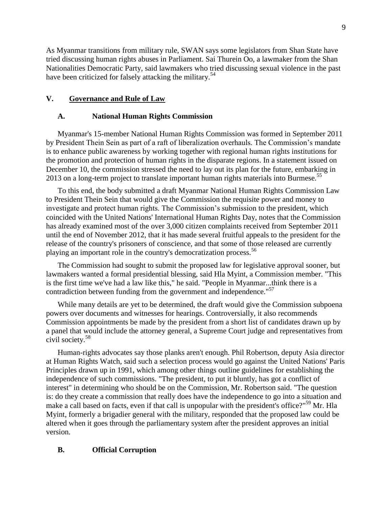As Myanmar transitions from military rule, SWAN says some legislators from Shan State have tried discussing human rights abuses in Parliament. Sai Thurein Oo, a lawmaker from the Shan Nationalities Democratic Party, said lawmakers who tried discussing sexual violence in the past have been criticized for falsely attacking the military.<sup>54</sup>

### <span id="page-8-0"></span>**V. Governance and Rule of Law**

#### **A. National Human Rights Commission**

Myanmar's 15-member National Human Rights Commission was formed in September 2011 by President Thein Sein as part of a raft of liberalization overhauls. The Commission's mandate is to enhance public awareness by working together with regional human rights institutions for the promotion and protection of human rights in the disparate regions. In a statement issued on December 10, the commission stressed the need to lay out its plan for the future, embarking in 2013 on a long-term project to translate important human rights materials into Burmese.<sup>55</sup>

To this end, the body submitted a draft Myanmar National Human Rights Commission Law to President [Thein Sein](http://topics.wsj.com/person/s/thein-sein/6810) that would give the Commission the requisite power and money to investigate and protect human rights. The Commission's submission to the president, which coincided with the United Nations' International Human Rights Day, notes that the Commission has already examined most of the over 3,000 citizen complaints received from September 2011 until the end of November 2012, that it has made several fruitful appeals to the president for the release of the country's prisoners of conscience, and that some of those released are currently playing an important role in the country's democratization process.<sup>56</sup>

The Commission had sought to submit the proposed law for legislative approval sooner, but lawmakers wanted a formal presidential blessing, said Hla Myint, a Commission member. "This is the first time we've had a law like this," he said. "People in Myanmar...think there is a contradiction between funding from the government and independence."<sup>57</sup>

While many details are yet to be determined, the draft would give the Commission subpoena powers over documents and witnesses for hearings. Controversially, it also recommends Commission appointments be made by the president from a short list of candidates drawn up by a panel that would include the attorney general, a Supreme Court judge and representatives from civil society.<sup>58</sup>

Human-rights advocates say those planks aren't enough. Phil Robertson, deputy Asia director at Human Rights Watch, said such a selection process would go against the United Nations' Paris Principles drawn up in 1991, which among other things outline guidelines for establishing the independence of such commissions. "The president, to put it bluntly, has got a conflict of interest" in determining who should be on the Commission, Mr. Robertson said. "The question is: do they create a commission that really does have the independence to go into a situation and make a call based on facts, even if that call is unpopular with the president's office?"<sup>59</sup> Mr. Hla Myint, formerly a brigadier general with the military, responded that the proposed law could be altered when it goes through the parliamentary system after the president approves an initial version.

#### **B. Official Corruption**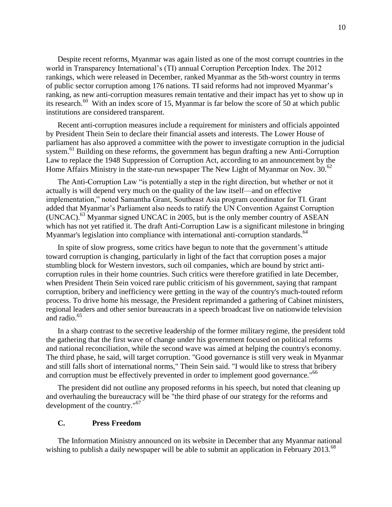Despite recent reforms, Myanmar was again listed as one of the most corrupt countries in the world in Transparency International's (TI) annual Corruption Perception Index. The 2012 rankings, which were released in December, ranked Myanmar as the 5th-worst country in terms of public sector corruption among 176 nations. TI said reforms had not improved Myanmar's ranking, as new anti-corruption measures remain tentative and their impact has yet to show up in its research.<sup>60</sup> With an index score of 15, Myanmar is far below the score of 50 at which public institutions are considered transparent.

Recent anti-corruption measures include a requirement for ministers and officials appointed by President Thein Sein to declare their financial assets and interests. The Lower House of parliament has also approved a committee with the power to investigate corruption in the judicial system.<sup>61</sup> Building on these reforms, the government has begun drafting a new Anti-Corruption Law to replace the 1948 Suppression of Corruption Act, according to an announcement by the Home Affairs Ministry in the state-run newspaper The New Light of Myanmar on Nov.  $30^{62}$ 

The Anti-Corruption Law "is potentially a step in the right direction, but whether or not it actually is will depend very much on the quality of the law itself—and on effective implementation," noted Samantha Grant, Southeast Asia program coordinator for TI. Grant added that Myanmar's Parliament also needs to ratify the UN Convention Against Corruption (UNCAC).<sup>63</sup> Myanmar signed UNCAC in 2005, but is the only member country of ASEAN which has not vet ratified it. The draft Anti-Corruption Law is a significant milestone in bringing Myanmar's legislation into compliance with international anti-corruption standards.<sup>64</sup>

In spite of slow progress, some critics have begun to note that the government's attitude toward corruption is changing, particularly in light of the fact that corruption poses a major stumbling block for Western investors, such oil companies, which are bound by strict anticorruption rules in their home countries. Such critics were therefore gratified in late December, when President Thein Sein voiced rare public criticism of his government, saying that rampant corruption, bribery and inefficiency were getting in the way of the country's much-touted reform process. To drive home his message, the President reprimanded a gathering of Cabinet ministers, regional leaders and other senior bureaucrats in a speech broadcast live on nationwide television and radio.<sup>65</sup>

In a sharp contrast to the secretive leadership of the former military regime, the president told the gathering that the first wave of change under his government focused on political reforms and national reconciliation, while the second wave was aimed at helping the country's economy. The third phase, he said, will target corruption. "Good governance is still very weak in Myanmar and still falls short of international norms," Thein Sein said. "I would like to stress that bribery and corruption must be effectively prevented in order to implement good governance.<sup>"66</sup>

The president did not outline any proposed reforms in his speech, but noted that cleaning up and overhauling the bureaucracy will be "the third phase of our strategy for the reforms and development of the country."<sup>67</sup>

#### **C. Press Freedom**

The Information Ministry announced on its website in December that any Myanmar national wishing to publish a daily newspaper will be able to submit an application in February 2013.<sup>68</sup>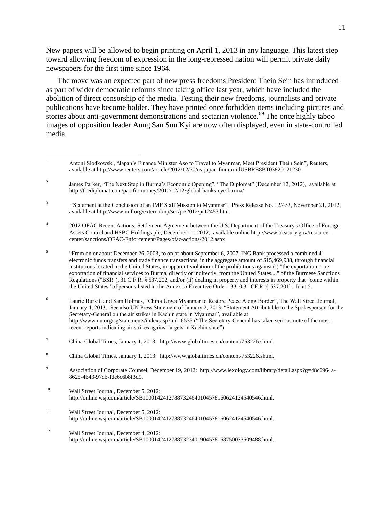New papers will be allowed to begin printing on April 1, 2013 in any language. This latest step toward allowing freedom of expression in the long-repressed nation will permit private daily newspapers for the first time since 1964.

The move was an expected part of new press freedoms President Thein Sein has introduced as part of wider democratic reforms since taking office last year, which have included the abolition of direct censorship of the media. Testing their new freedoms, journalists and private publications have become bolder. They have printed once forbidden items including pictures and stories about anti-government demonstrations and sectarian violence.<sup>69</sup> The once highly taboo images of opposition leader Aung San Suu Kyi are now often displayed, even in state-controlled media.

4 2012 OFAC Recent Actions, Settlement Agreement between the U.S. Department of the Treasury's Office of Foreign Assets Control and HSBC Holdings plc, December 11, 2012, available onlin[e http://www.treasury.gov/resource](http://www.treasury.gov/resource-center/sanctions/OFAC-Enforcement/Pages/ofac-actions-2012.aspx)[center/sanctions/OFAC-Enforcement/Pages/ofac-actions-2012.aspx](http://www.treasury.gov/resource-center/sanctions/OFAC-Enforcement/Pages/ofac-actions-2012.aspx)

5 "From on or about December 26, 2003, to on or about September 6, 2007, ING Bank processed a combined 41 electronic funds transfers and trade finance transactions, in the aggregate amount of \$15,469,938, through financial institutions located in the United States, in apparent violation of the prohibitions against (i) "the exportation or reexportation of financial services to Burma, directly or indirectly, from the United States...," of the Burmese Sanctions Regulations ("BSR"), 31 C.F.R. § 537.202, and/or (ii) dealing in property and interests in property that "come within the United States" of persons listed in the Annex to Executive Order 13310,31 CF.R. § 537.201". Id at 5.

<sup>6</sup> Laurie Burkitt and Sam Holmes, "China Urges Myanmar to Restore Peace Along Border", The Wall Street Journal, January 4, 2013. See also UN Press Statement of January 2, 2013, "Statement Attributable to the Spokesperson for the Secretary-General on the air strikes in Kachin state in Myanmar", available at <http://www.un.org/sg/statements/index.asp?nid=6535> ("The Secretary-General has taken serious note of the most recent reports indicating air strikes against targets in Kachin state")

- <sup>10</sup> Wall Street Journal, December 5, 2012: [http://online.wsj.com/article/SB10001424127887324640104578160624124540546.html.](http://online.wsj.com/article/SB10001424127887324640104578160624124540546.html)
- <sup>11</sup> Wall Street Journal, December 5, 2012: [http://online.wsj.com/article/SB10001424127887324640104578160624124540546.html.](http://online.wsj.com/article/SB10001424127887324640104578160624124540546.html)
- <sup>12</sup> Wall Street Journal, December 4, 2012: [http://online.wsj.com/article/SB10001424127887323401904578158750073509488.html.](http://online.wsj.com/article/SB10001424127887323401904578158750073509488.html)

 $\mathbf{1}$ <sup>1</sup> Antoni Slodkowski, "Japan's Finance Minister Aso to Travel to Myanmar, Meet President Thein Sein", Reuters, available a[t http://www.reuters.com/article/2012/12/30/us-japan-finmin-idUSBRE8BT03820121230](http://www.reuters.com/article/2012/12/30/us-japan-finmin-idUSBRE8BT03820121230)

<sup>2</sup> James Parker, "The Next Step in Burma's Economic Opening", "The Diplomat" (December 12, 2012), available at <http://thediplomat.com/pacific-money/2012/12/12/global-banks-eye-burma/>

<sup>3</sup> "Statement at the Conclusion of an IMF Staff Mission to Myanmar", Press Release No. 12/453, November 21, 2012, available a[t http://www.imf.org/external/np/sec/pr/2012/pr12453.htm.](http://www.imf.org/external/np/sec/pr/2012/pr12453.htm) 

<sup>7</sup> China Global Times, January 1, 2013: [http://www.globaltimes.cn/content/753226.shtml.](http://www.globaltimes.cn/content/753226.shtml) 

<sup>8</sup> China Global Times, January 1, 2013: [http://www.globaltimes.cn/content/753226.shtml.](http://www.globaltimes.cn/content/753226.shtml)

<sup>9</sup> Association of Corporate Counsel, December 19, 2012: [http://www.lexology.com/library/detail.aspx?g=48c6964a-](http://www.lexology.com/library/detail.aspx?g=48c6964a-8625-4b43-97db-fde6c6b8f3d9)[8625-4b43-97db-fde6c6b8f3d9.](http://www.lexology.com/library/detail.aspx?g=48c6964a-8625-4b43-97db-fde6c6b8f3d9)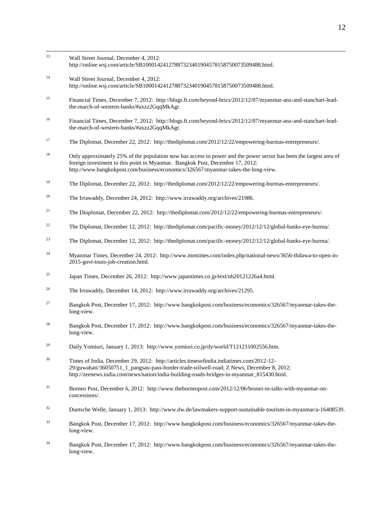- $13$ Wall Street Journal, December 4, 2012: [http://online.wsj.com/article/SB10001424127887323401904578158750073509488.html.](http://online.wsj.com/article/SB10001424127887323401904578158750073509488.html)
- <sup>14</sup> Wall Street Journal, December 4, 2012: [http://online.wsj.com/article/SB10001424127887323401904578158750073509488.html.](http://online.wsj.com/article/SB10001424127887323401904578158750073509488.html)
- <sup>15</sup> Financial Times, December 7, 2012: [http://blogs.ft.com/beyond-brics/2012/12/07/myanmar-anz-and-stanchart-lead](http://blogs.ft.com/beyond-brics/2012/12/07/myanmar-anz-and-stanchart-lead-the-march-of-western-banks/#axzz2GqqMkAgr)[the-march-of-western-banks/#axzz2GqqMkAgr.](http://blogs.ft.com/beyond-brics/2012/12/07/myanmar-anz-and-stanchart-lead-the-march-of-western-banks/#axzz2GqqMkAgr)
- <sup>16</sup> Financial Times, December 7, 2012: [http://blogs.ft.com/beyond-brics/2012/12/07/myanmar-anz-and-stanchart-lead](http://blogs.ft.com/beyond-brics/2012/12/07/myanmar-anz-and-stanchart-lead-the-march-of-western-banks/#axzz2GqqMkAgr)[the-march-of-western-banks/#axzz2GqqMkAgr.](http://blogs.ft.com/beyond-brics/2012/12/07/myanmar-anz-and-stanchart-lead-the-march-of-western-banks/#axzz2GqqMkAgr)
- <sup>17</sup> The Diplomat, December 22, 2012: [http://thediplomat.com/2012/12/22/empowering-burmas-entrepreneurs/.](http://thediplomat.com/2012/12/22/empowering-burmas-entrepreneurs/)
- <sup>18</sup> Only approximately 25% of the population now has access to power and the power sector has been the largest area of foreign investment to this point in Myanmar. Bangkok Post, December 17, 2012: [http://www.bangkokpost.com/business/economics/326567/myanmar-takes-the-long-view.](http://www.bangkokpost.com/business/economics/326567/myanmar-takes-the-long-view)
- <sup>19</sup> The Diplomat, December 22, 2012: [http://thediplomat.com/2012/12/22/empowering-burmas-entrepreneurs/.](http://thediplomat.com/2012/12/22/empowering-burmas-entrepreneurs/)
- <sup>20</sup> The Irrawaddy, December 24, 2012: [http://www.irrawaddy.org/archives/21986.](http://www.irrawaddy.org/archives/21986)
- <sup>21</sup> The Dioplomat, December 22, 2012: [http://thediplomat.com/2012/12/22/empowering-burmas-entrepreneurs/.](http://thediplomat.com/2012/12/22/empowering-burmas-entrepreneurs/)
- <sup>22</sup> The Diplomat, December 12, 2012: http://thediplomat.com/pacific-money/2012/12/12/global-banks-eye-burma/.
- <sup>23</sup> The Diplomat, December 12, 2012: [http://thediplomat.com/pacific-money/2012/12/12/global-banks-eye-burma/.](http://thediplomat.com/pacific-money/2012/12/12/global-banks-eye-burma/)
- <sup>24</sup> Myanmar Times, December 24, 2012: [http://www.mmtimes.com/index.php/national-news/3656-thilawa-to-open-in-](http://www.mmtimes.com/index.php/national-news/3656-thilawa-to-open-in-2015-govt-touts-job-creation.html)[2015-govt-touts-job-creation.html.](http://www.mmtimes.com/index.php/national-news/3656-thilawa-to-open-in-2015-govt-touts-job-creation.html)
- <sup>25</sup> Japan Times, December 26, 2012: [http://www.japantimes.co.jp/text/nb20121226a4.html.](http://www.japantimes.co.jp/text/nb20121226a4.html)
- <sup>26</sup> The Irrawaddy, December 14, 2012: [http://www.irrawaddy.org/archives/21295.](http://www.irrawaddy.org/archives/21295)
- <sup>27</sup> Bangkok Post, December 17, 2012: [http://www.bangkokpost.com/business/economics/326567/myanmar-takes-the](http://www.bangkokpost.com/business/economics/326567/myanmar-takes-the-long-view)[long-view.](http://www.bangkokpost.com/business/economics/326567/myanmar-takes-the-long-view)
- <sup>28</sup> Bangkok Post, December 17, 2012: [http://www.bangkokpost.com/business/economics/326567/myanmar-takes-the](http://www.bangkokpost.com/business/economics/326567/myanmar-takes-the-long-view)[long-view.](http://www.bangkokpost.com/business/economics/326567/myanmar-takes-the-long-view)
- <sup>29</sup> Daily Yomiuri, January 1, 2013: http://www.yomiuri.co.jp/dy/world/T121231002556.htm.
- <sup>30</sup> Times of India, December 29, 2012: [http://articles.timesofindia.indiatimes.com/2012-12-](http://articles.timesofindia.indiatimes.com/2012-12-29/guwahati/36050751_1_pangsau-pass-border-trade-stilwell-road) [29/guwahati/36050751\\_1\\_pangsau-pass-border-trade-stilwell-road;](http://articles.timesofindia.indiatimes.com/2012-12-29/guwahati/36050751_1_pangsau-pass-border-trade-stilwell-road) Z News, December 8, 2012: [http://zeenews.india.com/news/nation/india-building-roads-bridges-in-myanmar\\_815430.html.](http://zeenews.india.com/news/nation/india-building-roads-bridges-in-myanmar_815430.html)
- <sup>31</sup> Borneo Post, December 6, 2012: [http://www.theborneopost.com/2012/12/06/brunei-in-talks-with-myanmar-on](http://www.theborneopost.com/2012/12/06/brunei-in-talks-with-myanmar-on-concessions/)[concessions/.](http://www.theborneopost.com/2012/12/06/brunei-in-talks-with-myanmar-on-concessions/)
- <sup>32</sup> Duetsche Welle, January 1, 2013: [http://www.dw.de/lawmakers-support-sustainable-tourism-in-myanmar/a-16408539.](http://www.dw.de/lawmakers-support-sustainable-tourism-in-myanmar/a-16408539)
- <sup>33</sup> Bangkok Post, December 17, 2012: [http://www.bangkokpost.com/business/economics/326567/myanmar-takes-the](http://www.bangkokpost.com/business/economics/326567/myanmar-takes-the-long-view)[long-view.](http://www.bangkokpost.com/business/economics/326567/myanmar-takes-the-long-view)
- <sup>34</sup> Bangkok Post, December 17, 2012: [http://www.bangkokpost.com/business/economics/326567/myanmar-takes-the](http://www.bangkokpost.com/business/economics/326567/myanmar-takes-the-long-view)[long-view.](http://www.bangkokpost.com/business/economics/326567/myanmar-takes-the-long-view)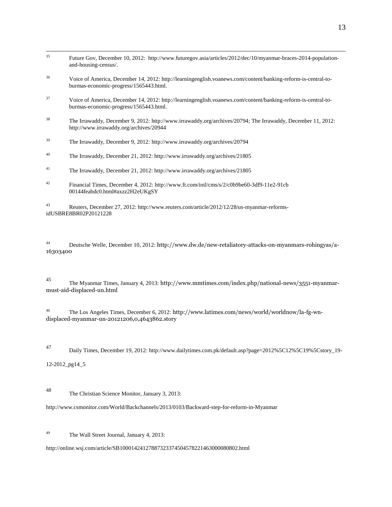| 36 | Voice of America, December 14, 2012: http://learningenglish.voanews.com/content/banking-reform-is-central-to-<br>burmas-economic-progress/1565443.html. |
|----|---------------------------------------------------------------------------------------------------------------------------------------------------------|
| 37 | Voice of America, December 14, 2012: http://learningenglish.voanews.com/content/banking-reform-is-central-to-<br>burmas-economic-progress/1565443.html. |
| 38 | The Irrawaddy, December 9, 2012: http://www.irrawaddy.org/archives/20794; The Irrawaddy, December 11, 2012:<br>http://www.irrawaddy.org/archives/20944  |
| 39 | The Irrawaddy, December 9, 2012: http://www.irrawaddy.org/archives/20794                                                                                |
| 40 | The Irrawaddy, December 21, 2012: http://www.irrawaddy.org/archives/21805                                                                               |
| 41 | The Irrawaddy, December 21, 2012: http://www.irrawaddy.org/archives/21805                                                                               |
| 42 | Financial Times, December 4, 2012: http://www.ft.com/intl/cms/s/2/c0b9be60-3df9-11e2-91cb<br>00144feabdc0.html#axzz2H2eUKgSY                            |

Future Gov, December 10, 2012: [http://www.futuregov.asia/articles/2012/dec/10/myanmar-braces-2014-population-](http://www.futuregov.asia/articles/2012/dec/10/myanmar-braces-2014-population-and-housing-census/)

<sup>43</sup> Reuters, December 27, 2012[: http://www.reuters.com/article/2012/12/28/us-myanmar-reforms](http://www.reuters.com/article/2012/12/28/us-myanmar-reforms-idUSBRE8BR02P20121228)[idUSBRE8BR02P20121228](http://www.reuters.com/article/2012/12/28/us-myanmar-reforms-idUSBRE8BR02P20121228)

<sup>44</sup> Deutsche Welle, December 10, 2012: http://www.dw.de/new-retaliatory-attacks-on-myanmars-rohingyas/a-16303400

<sup>45</sup> The Myanmar Times, January 4, 2013: [http://www.mmtimes.com/index.php/national-news/3551-myanmar](http://www.mmtimes.com/index.php/national-news/3551-myanmar-must-aid-displaced-un.html)[must-aid-displaced-un.html](http://www.mmtimes.com/index.php/national-news/3551-myanmar-must-aid-displaced-un.html)

<sup>46</sup> The Los Angeles Times, December 6, 2012: http://www.latimes.com/news/world/worldnow/la-fg-wndisplaced-myanmar-un-20121206,0,4643862.story

35

[and-housing-census/.](http://www.futuregov.asia/articles/2012/dec/10/myanmar-braces-2014-population-and-housing-census/)

<sup>47</sup> Daily Times, December 19, 2012[: http://www.dailytimes.com.pk/default.asp?page=2012%5C12%5C19%5Cstory\\_19-](http://www.dailytimes.com.pk/default.asp?page=2012%5C12%5C19%5Cstory_19-12-2012_pg14_5)

[12-2012\\_pg14\\_5](http://www.dailytimes.com.pk/default.asp?page=2012%5C12%5C19%5Cstory_19-12-2012_pg14_5)

<sup>48</sup> The Christian Science Monitor, January 3, 2013:

<http://www.csmonitor.com/World/Backchannels/2013/0103/Backward-step-for-reform-in-Myanmar>

<sup>49</sup> The Wall Street Journal, January 4, 2013:

<http://online.wsj.com/article/SB10001424127887323374504578221463000080802.html>